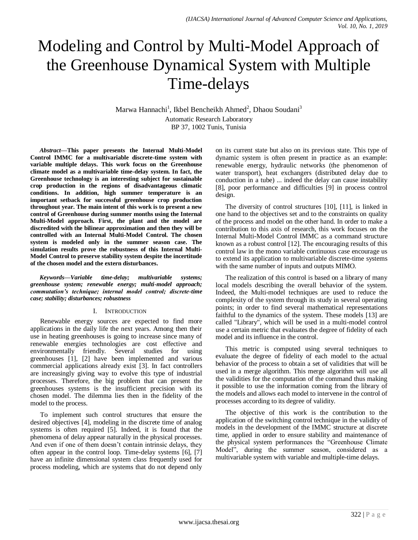# Modeling and Control by Multi-Model Approach of the Greenhouse Dynamical System with Multiple Time-delays

Marwa Hannachi<sup>1</sup>, Ikbel Bencheikh Ahmed<sup>2</sup>, Dhaou Soudani<sup>3</sup> Automatic Research Laboratory

BP 37, 1002 Tunis, Tunisia

*Abstract***—This paper presents the Internal Multi-Model Control IMMC for a multivariable discrete-time system with variable multiple delays. This work focus on the Greenhouse climate model as a multivariable time-delay system. In fact, the Greenhouse technology is an interesting subject for sustainable crop production in the regions of disadvantageous climatic conditions. In addition, high summer temperature is an important setback for successful greenhouse crop production throughout year. The main intent of this work is to present a new control of Greenhouse during summer months using the Internal Multi-Model approach. First, the plant and the model are discredited with the bilinear approximation and then they will be controlled with an Internal Multi-Model Control. The chosen system is modeled only in the summer season case. The simulation results prove the robustness of this Internal Multi-Model Control to preserve stability system despite the incertitude of the chosen model and the extern disturbances.**

*Keywords—Variable time-delay; multivariable systems; greenhouse system; renewable energy; multi-model approach; commutation's technique; internal model control; discrete-time case; stability; disturbances; robustness*

## I. INTRODUCTION

Renewable energy sources are expected to find more applications in the daily life the next years. Among then their use in heating greenhouses is going to increase since many of renewable energies technologies are cost effective and environmentally friendly. Several studies for using greenhouses [1], [2] have been implemented and various commercial applications already exist [3]. In fact controllers are increasingly giving way to evolve this type of industrial processes. Therefore, the big problem that can present the greenhouses systems is the insufficient precision with its chosen model. The dilemma lies then in the fidelity of the model to the process.

To implement such control structures that ensure the desired objectives [4], modeling in the discrete time of analog systems is often required [5]. Indeed, it is found that the phenomena of delay appear naturally in the physical processes. And even if one of them doesn't contain intrinsic delays, they often appear in the control loop. Time-delay systems [6], [7] have an infinite dimensional system class frequently used for process modeling, which are systems that do not depend only on its current state but also on its previous state. This type of dynamic system is often present in practice as an example: renewable energy, hydraulic networks (the phenomenon of water transport), heat exchangers (distributed delay due to conduction in a tube) ... indeed the delay can cause instability [8], poor performance and difficulties [9] in process control design.

The diversity of control structures [10], [11], is linked in one hand to the objectives set and to the constraints on quality of the process and model on the other hand. In order to make a contribution to this axis of research, this work focuses on the Internal Multi-Model Control IMMC as a command structure known as a robust control [12]. The encouraging results of this control law in the mono variable continuous case encourage us to extend its application to multivariable discrete-time systems with the same number of inputs and outputs MIMO.

The realization of this control is based on a library of many local models describing the overall behavior of the system. Indeed, the Multi-model techniques are used to reduce the complexity of the system through its study in several operating points; in order to find several mathematical representations faithful to the dynamics of the system. These models [13] are called "Library", which will be used in a multi-model control use a certain metric that evaluates the degree of fidelity of each model and its influence in the control.

This metric is computed using several techniques to evaluate the degree of fidelity of each model to the actual behavior of the process to obtain a set of validities that will be used in a merge algorithm. This merge algorithm will use all the validities for the computation of the command thus making it possible to use the information coming from the library of the models and allows each model to intervene in the control of processes according to its degree of validity.

The objective of this work is the contribution to the application of the switching control technique in the validity of models in the development of the IMMC structure at discrete time, applied in order to ensure stability and maintenance of the physical system performances the "Greenhouse Climate Model", during the summer season, considered as a multivariable system with variable and multiple-time delays.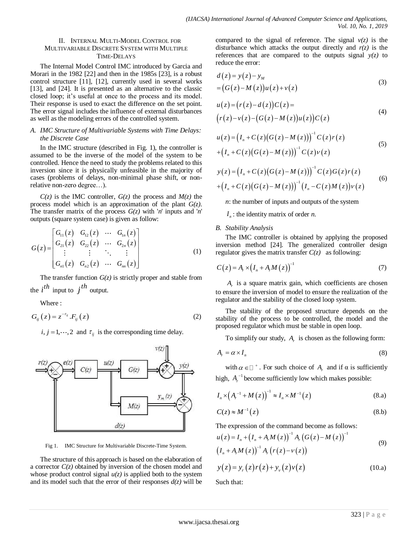## II. INTERNAL MULTI-MODEL CONTROL FOR MULTIVARIABLE DISCRETE SYSTEM WITH MULTIPLE TIME-DELAYS

The Internal Model Control IMC introduced by Garcia and Morari in the 1982 [22] and then in the 1985s [23], is a robust control structure [11], [12], currently used in several works [13], and [24]. It is presented as an alternative to the classic closed loop; it's useful at once to the process and its model. Their response is used to exact the difference on the set point. The error signal includes the influence of external disturbances as well as the modeling errors of the controlled system.

# *A. IMC Structure of Multivariable Systems with Time Delays: the Discrete Case*

In the IMC structure (described in Fig. 1), the controller is assumed to be the inverse of the model of the system to be controlled. Hence the need to study the problems related to this inversion since it is physically unfeasible in the majority of cases (problems of delays, non-minimal phase shift, or nonrelative non-zero degree…).

 $C(z)$  is the IMC controller,  $G(z)$  the process and  $M(z)$  the process model which is an approximation of the plant *G(z)*. The transfer matrix of the process *G(z)* with '*n*' inputs and '*n*' outputs (square system case) is given as follow:

$$
G(z) = \begin{bmatrix} G_{11}(z) & G_{12}(z) & \cdots & G_{1n}(z) \\ G_{21}(z) & G_{22}(z) & \cdots & G_{2n}(z) \\ \vdots & \vdots & \ddots & \vdots \\ G_{n1}(z) & G_{n2}(z) & \cdots & G_{nn}(z) \end{bmatrix}
$$
 (1)

The transfer function  $G(z)$  is strictly proper and stable from the  $i^{th}$  input to  $j^{th}$  output.

Where  $\cdot$ 

$$
G_{ij}(z) = z^{-\tau_{ij}} \cdot F_{ij}(z) \tag{2}
$$

*i*,  $j = 1, \dots, 2$  and  $\tau_{ij}$  is the corresponding time delay.



Fig 1. IMC Structure for Multivariable Discrete-Time System.

The structure of this approach is based on the elaboration of a corrector  $C(z)$  obtained by inversion of the chosen model and whose product control signal  $u(z)$  is applied both to the system and its model such that the error of their responses  $d(z)$  will be compared to the signal of reference. The signal  $v(z)$  is the disturbance which attacks the output directly and  $r(z)$  is the references that are compared to the outputs signal  $y(z)$  to reduce the error:

$$
d(z) = y(z) - yM
$$
  
= 
$$
(G(z) - M(z))u(z) + v(z)
$$
 (3)

$$
u(z) = (r(z) - d(z))C(z) =
$$
  
\n
$$
(r(z) - v(z) - (G(z) - M(z))u(z))C(z)
$$
 (4)

$$
u(z) = (I_n + C(z)(G(z) - M(z)))^{-1} C(z) r(z)
$$
  
+ 
$$
(I_n + C(z)(G(z) - M(z)))^{-1} C(z) \nu(z)
$$
 (5)

$$
y(z) = (I_n + C(z)(G(z) - M(z)))^{-1} C(z)G(z)r(z)
$$
  
+  $(I_n + C(z)(G(z) - M(z)))^{-1} (I_n - C(z)M(z))\nu(z)$  (6)

*n*: the number of inputs and outputs of the system

*n I* : the identity matrix of order *n*.

## *B. Stability Analysis*

The IMC controller is obtained by applying the proposed inversion method [24]. The generalized controller design regulator gives the matrix transfer  $C(z)$  as following:

$$
C(z) = A_r \times (I_n + A_r M(z))^{-1}
$$
 (7)

*A r* is a square matrix gain, which coefficients are chosen to ensure the inversion of model to ensure the realization of the regulator and the stability of the closed loop system.

The stability of the proposed structure depends on the stability of the process to be controlled, the model and the proposed regulator which must be stable in open loop.

To simplify our study,  $A_r$  is chosen as the following form:

$$
A_r = \alpha \times I_n \tag{8}
$$

with  $\alpha \in \square^+$ . For such choice of  $A_r$  and if  $\alpha$  is sufficiently high,  $A_r^{-1}$  become sufficiently low which makes possible:

$$
I_n \times (A_r^{-1} + M(z))^{-1} \approx I_n \times M^{-1}(z)
$$
 (8.a)

$$
C(z) \approx M^{-1}(z) \tag{8.b}
$$

The expression of the command become as follows:  
\n
$$
u(z) = I_n + (I_n + A_r M(z))^{-1} A_r (G(z) - M(z))^{-1}
$$
\n
$$
(I_n + A_r M(z))^{-1} A_r (r(z) - v(z))
$$
\n(9)

$$
y(z) = y_r(z)r(z) + y_v(z)v(z)
$$
 (10.a)

Such that: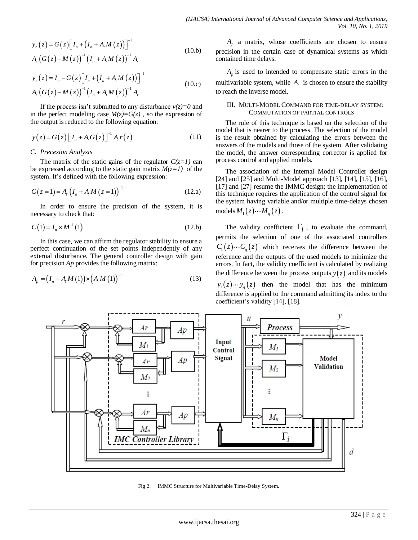$$
y_r(z) = G(z) \Big[ I_n + (I_n + A_r M(z)) \Big]^{-1}
$$
  
\n
$$
A_r (G(z) - M(z))^{-1} (I_n + A_r M(z))^{-1} A_r
$$
\n(10.b)

$$
y_{\nu}(z) = I_n - G(z) \Big[ I_n + (I_n + A_r M(z)) \Big]^{-1}
$$
  
\n
$$
A_r (G(z) - M(z))^{-1} (I_n + A_r M(z))^{-1} A_r
$$
\n(10.c)

If the process isn't submitted to any disturbance  $v(z)=0$  and in the perfect modeling case  $M(z)=G(z)$ , so the expression of the output is reduced to the following equation:

$$
y(z) = G(z) \left[ I_n + A_r G(z) \right]^{-1} A_r r(z)
$$
 (11)

#### *C. Precesion Analysis*

The matrix of the static gains of the regulator  $C(z=1)$  can be expressed according to the static gain matrix  $M(z=1)$  of the system. It's defined with the following expression:

$$
C(z=1) = A_r (I_n + A_r M (z=1))^{-1}
$$
 (12.a)

In order to ensure the precision of the system, it is necessary to check that:

$$
C(1) = I_n \times M^{-1}(1)
$$
 (12.b)

In this case, we can affirm the regulator stability to ensure a perfect continuation of the set points independently of any external disturbance. The general controller design with gain for precision *Ap* provides the following matrix:

$$
A_{p} = (I_{n} + A_{r}M(1)) \times (A_{r}M(1))^{-1}
$$
\n(13)

 $A_p$  a matrix, whose coefficients are chosen to ensure precision in the certain case of dynamical systems as which contained time delays.

 $A_p$  is used to intended to compensate static errors in the multivariable system, while  $A_r$  is chosen to ensure the stability to reach the inverse model.

## III. MULTI-MODEL COMMAND FOR TIME-DELAY SYSTEM: COMMUTATION OF PARTIAL CONTROLS

The rule of this technique is based on the selection of the model that is nearer to the process. The selection of the model is the result obtained by calculating the errors between the answers of the models and those of the system. After validating the model, the answer corresponding corrector is applied for process control and applied models.

The association of the Internal Model Controller design [24] and [25] and Multi-Model approach [13], [14], [15], [16], [17] and [27] resume the IMMC design; the implementation of this technique requires the application of the control signal for the system having variable and/or multiple time-delays chosen  $\text{models } M_1(z) \cdots M_q(z)$ .

The validity coefficient  $\Gamma_i$ , to evaluate the command, permits the selection of one of the associated controllers  $C_1(z) \cdots C_q(z)$  which receives the difference between the reference and the outputs of the used models to minimize the errors. In fact, the validity coefficient is calculated by realizing the difference between the process outputs  $y(z)$  and its models

 $y_1(z) \cdots y_q(z)$  then the model that has the minimum difference is applied to the command admitting its index to the coefficient's validity [14], [18].



Fig 2. IMMC Structure for Multivariable Time-Delay System.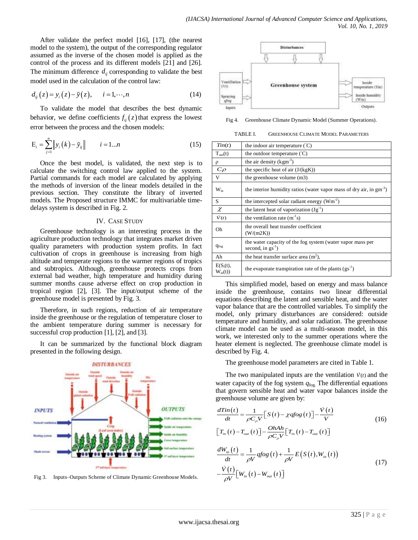After validate the perfect model [16], [17], (the nearest model to the system), the output of the corresponding regulator assumed as the inverse of the chosen model is applied as the control of the process and its different models [21] and [26]. The minimum difference  $d_{ij}$  corresponding to validate the best model used in the calculation of the control law:

$$
d_{ij}(z) = y_i(z) - \tilde{y}(z), \qquad i = 1, \cdots, n
$$
 (14)

To validate the model that describes the best dynamic behavior, we define coefficients  $f_{ij}(z)$  that express the lowest error between the process and the chosen models:

$$
E_{i} = \sum_{j=1}^{n} \|y_{i}(k) - \tilde{y}_{ij}\| \qquad i = 1...n
$$
 (15)

Once the best model, is validated, the next step is to calculate the switching control law applied to the system. Partial commands for each model are calculated by applying the methods of inversion of the linear models detailed in the previous section. They constitute the library of inverted models. The Proposed structure IMMC for multivariable timedelays system is described in Fig. 2.

## IV. CASE STUDY

Greenhouse technology is an interesting process in the agriculture production technology that integrates market driven quality parameters with production system profits. In fact cultivation of crops in greenhouse is increasing from high altitude and temperate regions to the warmer regions of tropics and subtropics. Although, greenhouse protects crops from external bad weather, high temperature and humidity during summer months cause adverse effect on crop production in tropical region [2], [3]. The input/output scheme of the greenhouse model is presented by Fig. 3.

Therefore, in such regions, reduction of air temperature inside the greenhouse or the regulation of temperature closer to the ambient temperature during summer is necessary for successful crop production [1], [2], and [3].

It can be summarized by the functional block diagram presented in the following design.



Fig 3. Inputs–Outputs Scheme of Climate Dynamic Greenhouse Models.



Fig 4. Greenhouse Climate Dynamic Model (Summer Operations).

TABLE I. GREENHOUSE CLIMATE MODEL PARAMETERS

| Tin(t)                      | the indoor air temperature $({\degree}C)$                                            |  |  |  |
|-----------------------------|--------------------------------------------------------------------------------------|--|--|--|
| $T_{out}(t)$                | the outdoor temperature $({\degree}C)$                                               |  |  |  |
| ρ                           | the air density $(kgm-3)$                                                            |  |  |  |
| $C\rho$                     | the specific heat of air $(J/(kgK))$                                                 |  |  |  |
| $\overline{V}$              | the greenhouse volume (m3)                                                           |  |  |  |
| $W_{in}$                    | the interior humidity ratios (water vapor mass of dry air, in gm <sup>-3</sup> )     |  |  |  |
| S                           | the intercepted solar radiant energy $(Wm^{-2})$                                     |  |  |  |
| $\chi$                      | the latent heat of vaporization $(Jg^{-1})$                                          |  |  |  |
| $\dot{V}(t)$                | the ventilation rate $(m^{-1}s)$                                                     |  |  |  |
| Oh                          | the overall heat transfer coefficient<br>(W/(m2K))                                   |  |  |  |
| $q_{f \circ g}$             | the water capacity of the fog system (water vapor mass per<br>second, in $gs^{-1}$ ) |  |  |  |
| Ah                          | the heat transfer surface area $(m2)$ ,                                              |  |  |  |
| $E(S_i(t)),$<br>$W_{in}(t)$ | the evaporate transpiration rate of the plants $(gs^{-1})$                           |  |  |  |

This simplified model, based on energy and mass balance inside the greenhouse, contains two linear differential equations describing the latent and sensible heat, and the water vapor balance that are the controlled variables. To simplify the model, only primary disturbances are considered: outside temperature and humidity, and solar radiation. The greenhouse climate model can be used as a multi-season model, in this work, we interested only to the summer operations where the heater element is neglected. The greenhouse climate model is described by Fig. 4.

The greenhouse model parameters are cited in Table 1.

The two manipulated inputs are the ventilation  $\dot{v}(t)$  and the water capacity of the fog system *q*fog. The differential equations that govern sensible heat and water vapor balances inside the

greenhouse volume are given by:  
\n
$$
\frac{dTin(t)}{dt} = \frac{1}{\rho C_{\rho} V} \Big[ S(t) - \chi q \log(t) \Big] - \frac{\dot{V}(t)}{V}
$$
\n
$$
\Big[ T_{in}(t) - T_{out}(t) \Big] - \frac{OhAh}{\rho C_{\rho} V} \Big[ T_{in}(t) - T_{out}(t) \Big]
$$
\n(16)

$$
\frac{dW_{in}(t)}{dt} = \frac{1}{\rho V} q f o g(t) + \frac{1}{\rho V} E(S(t), W_{in}(t))
$$
\n
$$
-\frac{\dot{V}(t)}{\rho V} \Big[ W_{in}(t) - W_{out}(t) \Big]
$$
\n(17)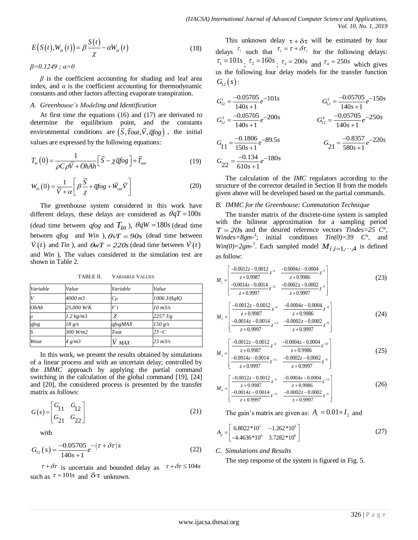$$
E(S(t), W_{in}(t)) = \beta \frac{S(t)}{\chi} - \alpha W_{in}(t)
$$
\n(18)

## *A. Greenhouse's Modeling and Identification*

$$
T_{in}(0) = \frac{1}{\rho C \rho \overline{V} + OhAh} \left[ \overline{S} - \chi \overline{q} f \circ g \right] + \overline{T}_{out}
$$
\n(19)

$$
W_{in}(0) = \frac{1}{\overline{V} + \alpha} \left[ \beta \frac{\overline{S}}{\chi} + \overline{q} f \circ g + \overline{W}_{out} \overline{V} \right]
$$
 (20)

|                                                                                                                                                                                                          | $E(S(t), W_{in}(t)) = \beta \frac{\gamma}{\gamma} - \alpha W_{in}(t)$                                                                                     |                        | (18)                                                                                                                                                                                                                                                                                                         | delays $\int$<br>$\tau_1 = 101$                    |
|----------------------------------------------------------------------------------------------------------------------------------------------------------------------------------------------------------|-----------------------------------------------------------------------------------------------------------------------------------------------------------|------------------------|--------------------------------------------------------------------------------------------------------------------------------------------------------------------------------------------------------------------------------------------------------------------------------------------------------------|----------------------------------------------------|
| $\beta = 0.1249$ ; $\alpha = 0$                                                                                                                                                                          |                                                                                                                                                           |                        |                                                                                                                                                                                                                                                                                                              |                                                    |
| $\beta$ is the coefficient accounting for shading and leaf area<br>index, and $\alpha$ is the coefficient accounting for thermodynamic<br>constants and other factors affecting evaporate transpiration. | us the f<br>$G_{12}(s)$ :                                                                                                                                 |                        |                                                                                                                                                                                                                                                                                                              |                                                    |
| A. Greenhouse's Modeling and Identification                                                                                                                                                              | $G_{12}^1 = \frac{-6}{1}$                                                                                                                                 |                        |                                                                                                                                                                                                                                                                                                              |                                                    |
| At first time the equations $(16)$ and $(17)$ are derivated to<br>determine<br>environmental conditions are $(\bar{S}, \bar{T}out, \bar{V}, \bar{q}fog)$ , the initial                                   | $G_{12}^3 = \frac{-6}{1}$                                                                                                                                 |                        |                                                                                                                                                                                                                                                                                                              |                                                    |
|                                                                                                                                                                                                          | values are expressed by the following equations:                                                                                                          |                        |                                                                                                                                                                                                                                                                                                              | $G_{11} = \frac{-}{1}$                             |
| $T_{in}(0) = \frac{1}{\rho C \rho \overline{V} + OhAh} \left[ \overline{S} - \chi \overline{q} f \overline{\rho} g \right] + \overline{T}_{out}$                                                         | $G_{22} = \frac{1}{6}$                                                                                                                                    |                        |                                                                                                                                                                                                                                                                                                              |                                                    |
|                                                                                                                                                                                                          | $W_{in}(0) = \frac{1}{\overline{V} + \alpha} \left  \beta \frac{\overline{S}}{\gamma} + \overline{q} f \circ g + \overline{W}_{out} \overline{V} \right $ |                        | (20)                                                                                                                                                                                                                                                                                                         | The<br>structure<br>given ab                       |
|                                                                                                                                                                                                          |                                                                                                                                                           |                        | The greenhouse system considered in this work have<br>different delays, these delays are considered as $\theta qT = 100s$                                                                                                                                                                                    | B. IMM<br>The i                                    |
|                                                                                                                                                                                                          |                                                                                                                                                           |                        | (dead time between <i>qfog</i> and $T_{in}$ ), $\theta qW = 180s$ (dead time<br>between <i>qfog</i> and <i>Win</i> ), $\theta V = 90s$ (dead time between<br>$\dot{V}(t)$ and Tin), and $\theta wT = 220s$ (dead time between $\dot{V}(t)$                                                                   | with th<br>$T = 20$<br>Windes=<br>$Win(0)=$        |
| shown in Table 2.                                                                                                                                                                                        |                                                                                                                                                           |                        | and Win ), The values considered in the simulation test are                                                                                                                                                                                                                                                  | as follow                                          |
|                                                                                                                                                                                                          | TABLE II.                                                                                                                                                 | <b>VARIABLE VALUES</b> |                                                                                                                                                                                                                                                                                                              | $M_1 = \frac{1}{-0.05}$                            |
| Variable                                                                                                                                                                                                 | Value                                                                                                                                                     | Variable               | Value                                                                                                                                                                                                                                                                                                        |                                                    |
| V                                                                                                                                                                                                        | 4000 m3                                                                                                                                                   | $C\rho$                | 1006 J/(kgK)                                                                                                                                                                                                                                                                                                 |                                                    |
| OhAh                                                                                                                                                                                                     | 25,000 W/K                                                                                                                                                | V t                    | 10 m3/s                                                                                                                                                                                                                                                                                                      |                                                    |
| $\rho$                                                                                                                                                                                                   | 1.2 kg/m3                                                                                                                                                 | χ                      | 2257 J/g                                                                                                                                                                                                                                                                                                     | $M_2 = \frac{1}{1} \frac{-0.1}{-0.1}$              |
| qfog                                                                                                                                                                                                     | 18 g/s                                                                                                                                                    | qfogMAX                | 150 g/s                                                                                                                                                                                                                                                                                                      |                                                    |
| S                                                                                                                                                                                                        | 300 W/m2                                                                                                                                                  | Tout                   | 25 $\circ$ C                                                                                                                                                                                                                                                                                                 |                                                    |
| Wout                                                                                                                                                                                                     | $4 \frac{g}{m3}$                                                                                                                                          | V max                  | 23 m3/s                                                                                                                                                                                                                                                                                                      | $\frac{-0.1}{2}$                                   |
| the <i>IMMC</i><br>matrix as follows:                                                                                                                                                                    |                                                                                                                                                           |                        | In this work, we present the results obtained by simulations<br>of a linear process and with an uncertain delay; controlled by<br>approach by applying the partial command<br>switching in the calculation of the global command [19], [24]<br>and [20], the considered process is presented by the transfer | $M_3 = \boxed{ -0.0}$<br>$M_4 = \frac{100}{-0.05}$ |
| $G(s) = \begin{vmatrix} G_{11} & G_{12} \\ G_{21} & G_{22} \end{vmatrix}$                                                                                                                                | The g                                                                                                                                                     |                        |                                                                                                                                                                                                                                                                                                              |                                                    |
| with                                                                                                                                                                                                     |                                                                                                                                                           |                        |                                                                                                                                                                                                                                                                                                              | $A_p = \begin{bmatrix} 6.8 \\ -4. \end{bmatrix}$   |
| $G_{12}(s) = \frac{-0.05705}{140s+1}e^{-\left(\tau+\delta\tau\right)s}$                                                                                                                                  | C. Simu<br>The s                                                                                                                                          |                        |                                                                                                                                                                                                                                                                                                              |                                                    |
|                                                                                                                                                                                                          | $\tau + \delta \tau$ is uncertain and bounded delay as<br>such as $\tau = 101s$ and $\delta \tau$ unknown.                                                |                        | $\tau + \delta \tau \leq 104s$                                                                                                                                                                                                                                                                               |                                                    |
|                                                                                                                                                                                                          |                                                                                                                                                           |                        |                                                                                                                                                                                                                                                                                                              | www.ijacsa.thesai.org                              |

TABLE II. VARIABLE VALUES

$$
G(s) = \begin{bmatrix} G_{11} & G_{12} \\ G_{21} & G_{22} \end{bmatrix}
$$
 (21)

$$
G_{12}(s) = \frac{-0.05705}{140s + 1} e^{-(\tau + \delta \tau)s}
$$
\n(22)

This unknown delay  $\tau + \delta \tau$  will be estimated by four delays  $\tau_i$  such that  $\tau_i = \tau + \delta \tau_i$  for the following delays:  $\tau_1 = 101s$ ,  $\tau_2 = 160s$ ,  $\tau_3 = 200s$  and  $\tau_4 = 250s$  which gives us the following four delay models for the transfer function  $G_{12}(s)$  :

$$
G_{12}^{1} = \frac{-0.05705}{140s + 1} e^{-101s}
$$
\n
$$
G_{12}^{2} = \frac{-0.05705}{140s + 1} e^{-150s}
$$
\n
$$
G_{12}^{3} = \frac{-0.05705}{140s + 1} e^{-200s}
$$
\n
$$
G_{11}^{4} = \frac{-0.1806}{150s + 1} e^{-89.5s}
$$
\n
$$
G_{21} = \frac{-0.3357}{580s + 1} e^{-220s}
$$
\n
$$
G_{22} = \frac{-0.134}{610s + 1} e^{-180s}
$$

The calculation of the *IMC* regulators according to the structure of the corrector detailed in Section II from the models given above will be developed based on the partial commands.

#### *B. IMMC for the Greenhouse: Commutation Technique*

The transfer matrix of the discrete-time system is sampled with the bilinear approximation for a sampling period  $T = 20s$  and the desired reference vectors *Tindes=25* C°, *Windes*=8gm<sup>-3</sup>; initial conditions  $Tin(0)=39$  C°, and  $Win(0)=2gm^{-3}$ . Each sampled model  $M_{i,i=1,\dots,4}$  is defined as follow:

$$
M_{1} = \begin{bmatrix} \frac{-0.0012z - 0.0012}{z + 0.9987} z^{-4} & \frac{-0.0004z - 0.0004}{z + 0.9986} z^{-5} \\ \frac{-0.0014z - 0.0014}{z + 0.9997} z^{-11} & \frac{-0.0002z - 0.0002}{z + 0.9997} z^{-9} \end{bmatrix}
$$
(23)

$$
M_2 = \begin{bmatrix} \frac{-0.0012z - 0.0012}{z + 0.9987} z^{-4} & \frac{-0.0004z - 0.0004}{z + 0.9986} z^{-8} \\ \frac{-0.0014z - 0.0014}{z + 0.9997} z^{-11} & \frac{-0.0002z - 0.0002}{z + 0.9997} z^{-9} \end{bmatrix}
$$
(24)

$$
M_3 = \begin{bmatrix} \frac{-0.0012z - 0.0012}{z + 0.9987} z^{-4} & \frac{-0.0004z - 0.0004}{z + 0.9986} z^{-10} \\ \frac{-0.0014z - 0.0014}{z + 0.9997} z^{-11} & \frac{-0.0002z - 0.0002}{z + 0.9997} z^{-9} \end{bmatrix}
$$
(25)

$$
M_4 = \begin{bmatrix} \frac{-0.0012z - 0.0012}{z + 0.9997} z^{-4} & \frac{-0.0004z - 0.0004}{z + 0.9986} z^{-13} \\ \frac{-0.0014z - 0.0014}{z + 0.9997} z^{-11} & \frac{-0.0002z - 0.0002}{z + 0.9997} z^{-9} \end{bmatrix}
$$
(26)

The gain's matrix are given as:  $A_r = 0.01 \times I_2$  and

$$
A_p = \begin{bmatrix} 6.8022 * 10^5 & -1.262 * 10^6 \\ -4.4636 * 10^6 & 3.7282 * 10^6 \end{bmatrix}
$$
 (27)

## *C. Simulations and Results*

The step response of the system is figured in Fig. 5.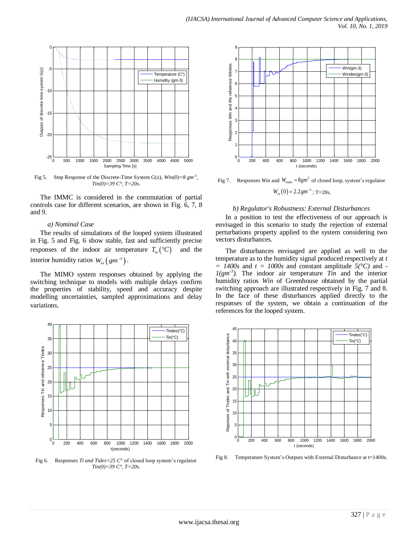

Fig 5. Step Response of the Discrete-Time System  $G(z)$ ,  $Win(0)=8$   $gm<sup>3</sup>$ , *Tin(0)=39 C°, T=20s.*

The IMMC is considered in the commutation of partial controls case for different scenarios, are shown in Fig. 6, 7, 8 and 9.

## *a) Nominal Case*

The results of simulations of the looped system illustrated in Fig. 5 and Fig. 6 show stable, fast and sufficiently precise responses of the indoor air temperature  $T_{in}({}^{\circ}C)$  and the interior humidity ratios  $W_{in} (gm^{-3})$ .

The MIMO system responses obtained by applying the switching technique to models with multiple delays confirm the properties of stability, speed and accuracy despite modelling uncertainties, sampled approximations and delay variations.



Fig 6. Responses *Ti and Tides=25 C°* of closed loop system's regulator *Tin(0)=39 C°, T=20s.*



Fig 7. Responses *Win* and  $W_{indes} = 8gm^3$  of closed loop, system's regulator  $W_{in}(0) = 2.2 \text{ gm}^{-3}$ ; T=20s.

#### *b) Regulator's Robustness: External Disturbances*

In a position to test the effectiveness of our approach is envisaged in this scenario to study the rejection of external perturbations property applied to the system considering two vectors disturbances.

The disturbances envisaged are applied as well to the temperature as to the humidity signal produced respectively at *t = 1400s* and *t = 1000s* and constant amplitude *5(°C)* and *-*  $1(gm<sup>-3</sup>)$ . The indoor air temperature *Tin* and the interior humidity ratios *Win* of Greenhouse obtained by the partial switching approach are illustrated respectively in Fig. 7 and 8. In the face of these disturbances applied directly to the responses of the system, we obtain a continuation of the references for the looped system.



Fig 8. Temperature System's Outputs with External Disturbance at t=1400s.